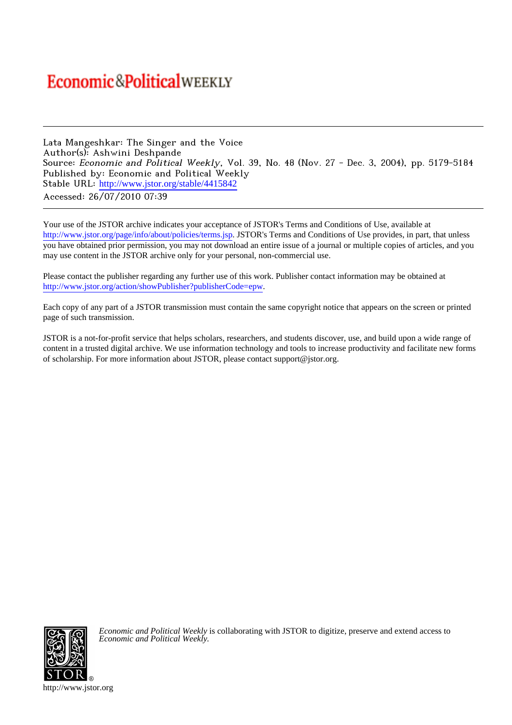## **Economic&PoliticalWEEKLY**

Lata Mangeshkar: The Singer and the Voice Author(s): Ashwini Deshpande Source: Economic and Political Weekly, Vol. 39, No. 48 (Nov. 27 - Dec. 3, 2004), pp. 5179-5184 Published by: Economic and Political Weekly Stable URL: [http://www.jstor.org/stable/4415842](http://www.jstor.org/stable/4415842?origin=JSTOR-pdf) Accessed: 26/07/2010 07:39

Your use of the JSTOR archive indicates your acceptance of JSTOR's Terms and Conditions of Use, available at <http://www.jstor.org/page/info/about/policies/terms.jsp>. JSTOR's Terms and Conditions of Use provides, in part, that unless you have obtained prior permission, you may not download an entire issue of a journal or multiple copies of articles, and you may use content in the JSTOR archive only for your personal, non-commercial use.

Please contact the publisher regarding any further use of this work. Publisher contact information may be obtained at [http://www.jstor.org/action/showPublisher?publisherCode=epw.](http://www.jstor.org/action/showPublisher?publisherCode=epw)

Each copy of any part of a JSTOR transmission must contain the same copyright notice that appears on the screen or printed page of such transmission.

JSTOR is a not-for-profit service that helps scholars, researchers, and students discover, use, and build upon a wide range of content in a trusted digital archive. We use information technology and tools to increase productivity and facilitate new forms of scholarship. For more information about JSTOR, please contact support@jstor.org.



*Economic and Political Weekly* is collaborating with JSTOR to digitize, preserve and extend access to *Economic and Political Weekly.*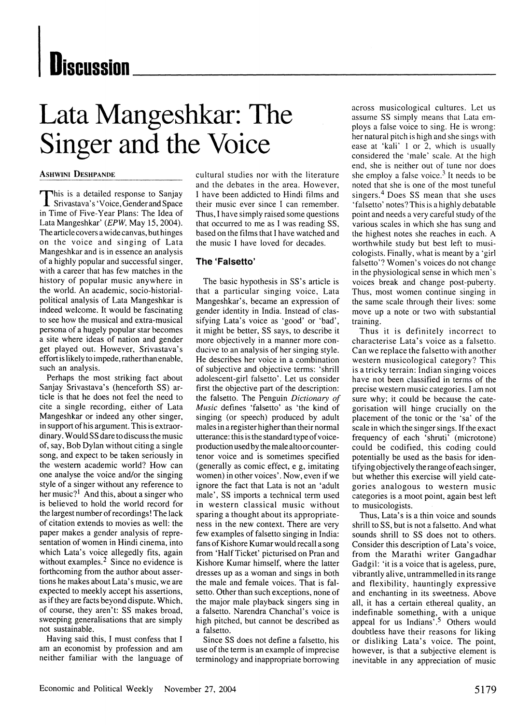**iscussion \_\_\_\_\_\_\_** 

# **Lata Mangeshkar: The Singer and the Voice**

#### **ASHWINI DESHPANDE**

**This is a detailed response to Sanjay Srivastava' s 'Voice, Gender and Space in Time of Five-Year Plans: The Idea of Lata Mangeshkar' (EPW, May 15, 2004). The article covers a wide canvas, buthinges on the voice and singing of Lata Mangeshkar and is in essence an analysis of a highly popular and successful singer, with a career that has few matches in the history of popular music anywhere in the world. An academic, socio-historialpolitical analysis of Lata Mangeshkar is indeed welcome. It would be fascinating to see how the musical and extra-musical persona of a hugely popular star becomes a site where ideas of nation and gender get played out. However, Srivastava's effort is likely to impede, ratherthan enable, such an analysis.** 

**Perhaps the most striking fact about Sanjay Srivastava's (henceforth SS) article is that he does not feel the need to cite a single recording, either of Lata Mangeshkar or indeed any other singer, in support of his argument. This is extraordinary. Would SS dare to discuss the music of, say, Bob Dylan without citing a single song, and expect to be taken seriously in the western academic world? How can one analyse the voice and/or the singing style of a singer without any reference to her music?1 And this, about a singer who is believed to hold the world record for the largest number of recordings! The lack of citation extends to movies as well: the paper makes a gender analysis of representation of women in Hindi cinema, into which Lata's voice allegedly fits, again without examples.2 Since no evidence is forthcoming from the author about assertions he makes about Lata' s music, we are expected to meekly accept his assertions, as if they are facts beyond dispute. Which, of course, they aren't: SS makes broad, sweeping generalisations that are simply not sustainable.** 

**Having said this, I must confess that I am an economist by profession and am neither familiar with the language of**  **cultural studies nor with the literature and the debates in the area. However, I have been addicted to Hindi films and their music ever since I can remember. Thus, I have simply raised some questions that occurred to me as I was reading SS, based on the films that I have watched and the music I have loved for decades.** 

#### **The 'Falsetto'**

**The basic hypothesis in SS's article is that a particular singing voice, Lata Mangeshkar's, became an expression of gender identity in India. Instead of classifying Lata's voice as 'good' or 'bad', it might be better, SS says, to describe it more objectively in a manner more conducive to an analysis of her singing style. He describes her voice in a combination of subjective and objective terms: 'shrill adolescent-girl falsetto'. Let us consider first the objective part of the description: the falsetto. The Penguin Dictionary of Music defines 'falsetto' as 'the kind of singing (or speech) produced by adult males in a register higher than their normal utterance: this is the standard type of voiceproduction used by the male alto or countertenor voice and is sometimes specified (generally as comic effect, e g, imitating women) in other voices'. Now, even if we ignore the fact that Lata is not an 'adult male', SS imports a technical term used in western classical music without sparing a thought about its appropriateness in the new context. There are very few examples of falsetto singing in India: fans of Kishore Kumar would recall a song from 'Half Ticket' picturised on Pran and Kishore Kumar himself, where the latter dresses up as a woman and sings in both the male and female voices. That is falsetto. Other than such exceptions, none of the major male playback singers sing in a falsetto. Narendra Chanchal's voice is high pitched, but cannot be described as a falsetto.** 

**Since SS does not define a falsetto, his use of the term is an example of imprecise terminology and inappropriate borrowing** 

**across musicological cultures. Let us assume SS simply means that Lata employs a false voice to sing. He is wrong: her natural pitch is high and she sings with ease at 'kali' 1 or 2, which is usually considered the 'male' scale. At the high end, she is neither out of tune nor does she employ a false voice.3 It needs to be noted that she is one of the most tuneful singers.4 Does SS mean that she uses 'falsetto' notes? This is a highly debatable point and needs a very careful study of the various scales in which she has sung and the highest notes she reaches in each. A worthwhile study but best left to musicologists. Finally, what is meant by a 'girl falsetto'? Women's voices do not change in the physiological sense in which men's voices break and change post-puberty. Thus, most women continue singing in the same scale through their lives: some move up a note or two with substantial training.** 

**Thus it is definitely incorrect to characterise Lata's voice as a falsetto. Can we replace the falsetto with another western musicological category? This is a tricky terrain: Indian singing voices have not been classified in terms of the precise western music categories. I am not sure why; it could be because the categorisation will hinge crucially on the placement of the tonic or the 'sa' of the scale in which the singer sings. If the exact frequency of each 'shruti' (microtone) could be codified, this coding could potentially be used as the basis for identifying objectively the range of each singer, but whether this exercise will yield categories analogous to western music categories is a moot point, again best left to musicologists.** 

**Thus, Lata's is a thin voice and sounds shrill to SS, but is not a falsetto. And what sounds shrill to SS does not to others. Consider this description of Lata's voice, from the Marathi writer Gangadhar Gadgil: 'it is a voice that is ageless, pure, vibrantly alive, untrammelled in its range and flexibility, hauntingly expressive and enchanting in its sweetness. Above all, it has a certain ethereal quality, an indefinable something, with a unique appeal for us Indians'.5 Others would doubtless have their reasons for liking or disliking Lata's voice. The point, however, is that a subjective element is inevitable in any appreciation of music**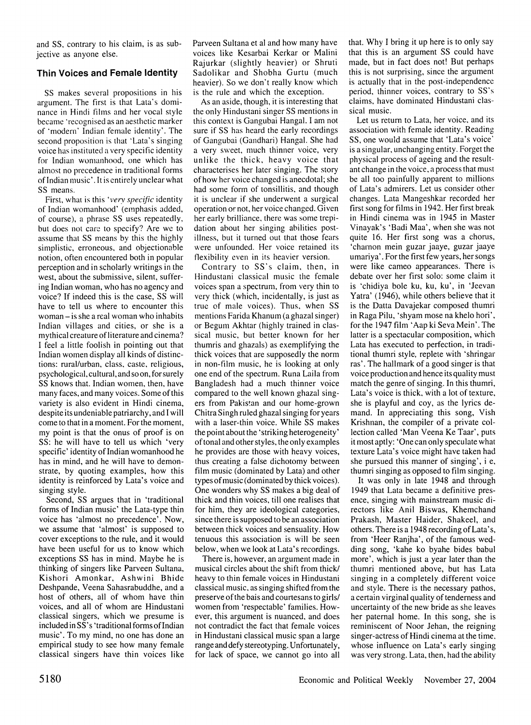**and SS, contrary to his claim, is as subjective as anyone else.** 

#### **Thin Voices and Female Identity**

**SS makes several propositions in his argument. The first is that Lata's dominance in Hindi films and her vocal style became 'recognised as an aesthetic marker of 'modern' Indian female identity'. The second proposition is that 'Lata's singing voice has instituted a very specific identity for Indian womanhood, one which has almost no precedence in traditional forms of Indian music'. It is entirely unclear what SS means.** 

**First, what is this 'very specific identity of Indian womanhood' (emphasis added, of course), a phrase SS uses repeatedly, but does not care to specify? Are we to assume that SS means by this the highly simplistic, erroneous, and objectionable notion, often encountered both in popular perception and in scholarly writings in the west, about the submissive, silent, suffering Indian woman, who has no agency and voice? If indeed this is the case, SS will have to tell us where to encounter this woman - is she a real woman who inhabits Indian villages and cities, or she is a mythical creature of literature and cinema? I feel a little foolish in pointing out that Indian women display all kinds of distinctions: rural/urban, class, caste, religious, psychological, cultural, and so on, for surely SS knows that. Indian women, then, have many faces, and many voices. Some of this variety is also evident in Hindi cinema, despite its undeniable patriarchy, and I will come to that in a moment. For the moment, my point is that the onus of proof is on SS: he will have to tell us which 'very specific' identity of Indian womanhood he has in mind, and he will have to demonstrate, by quoting examples, how this identity is reinforced by Lata's voice and singing style.** 

**Second, SS argues that in 'traditional forms of Indian music' the Lata-type thin voice has 'almost no precedence'. Now, we assume that 'almost' is supposed to cover exceptions to the rule, and it would have been useful for us to know which exceptions SS has in mind. Maybe he is thinking of singers like Parveen Sultana, Kishori Amonkar, Ashwini Bhide Deshpande, Veena Sahasrabuddhe, and a host of others, all of whom have thin voices, and all of whom are Hindustani classical singers, which we presume is**  included in SS's 'traditional forms of Indian **music'. To my mind, no one has done an empirical study to see how many female classical singers have thin voices like**  **Parveen Sultana et al and how many have voices like Kesarbai Kerkar or Malini Rajurkar (slightly heavier) or Shruti Sadolikar and Shobha Gurtu (much heavier). So we don't really know which is the rule and which the exception.** 

**As an aside, though, it is interesting that the only Hindustani singer SS mentions in this context is Gangubai Hangal. I am not sure if SS has heard the early recordings of Gangubai (Gandhari) Hangal. She had a very sweet, much thinner voice, very unlike the thick, heavy voice that characterises her later singing. The story of how her voice changed is anecdotal; she had some form of tonsillitis, and though it is unclear if she underwent a surgical operation or not, her voice changed. Given her early brilliance, there was some trepidation about her singing abilities postillness, but it turned out that those fears were unfounded. Her voice retained its flexibility even in its heavier version.** 

**Contrary to SS's claim, then, in Hindustani classical music the female voices span a spectrum, from very thin to very thick (which, incidentally, is just as true of male voices). Thus, when SS mentions Farida Khanum (a ghazal singer) or Begum Akhtar (highly trained in classical music, but better known for her thumris and ghazals) as exemplifying the thick voices that are supposedly the norm in non-film music, he is looking at only one end of the spectrum. Runa Laila from Bangladesh had a much thinner voice compared to the well known ghazal singers from Pakistan and our home-grown Chitra Singh ruled ghazal singing for years with a laser-thin voice. While SS makes the point about the 'striking heterogeneity' of tonal and other styles, the only examples he provides are those with heavy voices, thus creating a false dichotomy between film music (dominated by Lata) and other types of music (dominated by thick voices). One wonders why SS makes a big deal of thick and thin voices, till one realises that for him, they are ideological categories, since there is supposed to be an association between thick voices and sensuality. How tenuous this association is will be seen below, when we look at Lata's recordings.** 

**There is, however, an argument made in musical circles about the shift from thick/ heavy to thin female voices in Hindustani classical music, as singing shifted from the preserve of the bais and courtesans to girls/ women from 'respectable' families. However, this argument is nuanced, and does not contradict the fact that female voices in Hindustani classical music span a large range and defy stereotyping. Unfortunately, for lack of space, we cannot go into all**  **that. Why I bring it up here is to only say that this is an argument SS could have made, but in fact does not! But perhaps this is not surprising, since the argument is actually that in the post-independence period, thinner voices, contrary to SS's claims, have dominated Hindustani classical music.** 

**Let us return to Lata, her voice, and its association with female identity. Reading SS, one would assume that 'Lata's voice' is a singular, unchanging entity. Forget the physical process of ageing and the resultant change in the voice, a process that must be all too painfully apparent to millions of Lata's admirers. Let us consider other changes. Lata Mangeshkar recorded her first song for films in 1942. Her first break in Hindi cinema was in 1945 in Master Vinayak's 'Badi Maa', when she was not quite 16. Her first song was a chorus, 'charnon mein guzar jaaye, guzar jaaye umariya'. For the first few years, her songs were like cameo appearances. There is debate over her first solo: some claim it is 'chidiya bole ku, ku, ku', in 'Jeevan Yatra' (1946), while others believe that it is the Datta Davajekar composed thumri in Raga Pilu, 'shyam mose na khelo hori', for the 1947 film 'Aap ki Seva Mein'. The latter is a spectacular composition, which Lata has executed to perfection, in traditional thumri style, replete with 'shringar ras'. The hallmark of a good singer is that voice production and hence its quality must match the genre of singing. In this thumri, Lata's voice is thick, with a lot of texture, she is playful and coy, as the lyrics demand. In appreciating this song, Vish Krishnan, the compiler of a private collection called 'Man Veena Ke Taar', puts it most aptly: 'One can only speculate what texture Lata's voice might have taken had she pursued this manner of singing', i e, thumri singing as opposed to film singing.** 

**It was only in late 1948 and through 1949 that Lata became a definitive presence, singing with mainstream music directors like Anil Biswas, Khemchand Prakash, Master Haider, Shakeel, and others. There is a 1948 recording of Lata's, from 'Heer Ranjha', of the famous wedding song, 'kahe ko byahe bides babul more', which is just a year later than the thumri mentioned above, but has Lata singing in a completely different voice and style. There is the necessary pathos, a certain virginal quality of tenderness and uncertainty of the new bride as she leaves her paternal home. In this song, she is reminiscent of Noor Jehan, the reigning singer-actress of Hindi cinema at the time, whose influence on Lata's early singing was very strong. Lata, then, had the ability**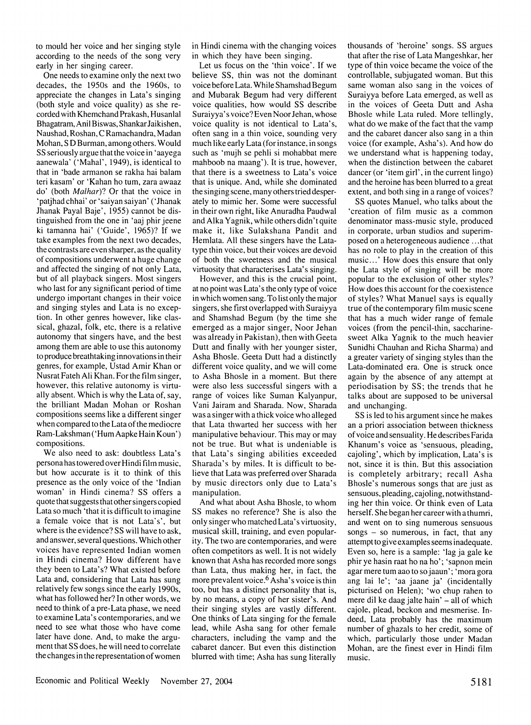**to mould her voice and her singing style according to the needs of the song very early in her singing career.** 

**One needs to examine only the next two decades, the 1950s and the 1960s, to appreciate the changes in Lata's singing (both style and voice quality) as she recorded with Khemchand Prakash, Husanlal Bhagatram, Anil Biswas, ShankarJaikishen, Naushad, Roshan, C Ramachandra, Madan Mohan, S D Burman, among others. Would SS seriously argue that the voice in 'aayega aanewala' ('Mahal', 1949), is identical to that in 'bade armanon se rakha hai balam**  teri kasam' or 'Kahan ho tum, zara awaaz **do' (both Malhar)? Or that the voice in 'patjhad chhai' or 'saiyan saiyan' ('Jhanak Jhanak Payal Baje', 1955) cannot be dis**tinguished from the one in 'aaj phir jeene **ki tamanna hai' ('Guide', 1965)? If we take examples from the next two decades, the contrasts are even sharper, as the quality of compositions underwent a huge change and affected the singing of not only Lata, but of all playback singers. Most singers who last for any significant period of time undergo important changes in their voice and singing styles and Lata is no exception. In other genres however, like classical, ghazal, folk, etc, there is a relative autonomy that singers have, and the best among them are able to use this autonomy to produce breathtaking innovations in their genres, for example, Ustad Amir Khan or Nusrat Fateh Ali Khan. For the film singer, however, this relative autonomy is virtually absent. Which is why the Lata of, say, the brilliant Madan Mohan or Roshan compositions seems like a different singer when compared to the Lata of the mediocre Ram-Lakshman ('Hum Aapke Hain Koun') compositions.** 

**We also need to ask: doubtless Lata's persona has towered overHindi film music, but how accurate is it to think of this presence as the only voice of the 'Indian woman' in Hindi cinema'? SS offers a quote that suggests that other singers copied Lata so much 'that it is difficult to imagine a female voice that is not Lata's', but where is the evidence? SS will have to ask, and answer, several questions. Which other voices have represented Indian women in Hindi cinema? How different have they been to Lata's? What existed before Lata and, considering that Lata has sung relatively few songs since the early 1990s, what has followed her? In other words, we need to think of a pre-Lata phase, we need to examine Lata's contemporaries, and we need to see what those who have come later have done. And, to make the argument that SS does, he will need to correlate the changes in the representation of women** 

**in Hindi cinema with the changing voices in which they have been singing.** 

**Let us focus on the 'thin voice'. If we believe SS, thin was not the dominant voice before Lata. While Shamshad Begum and Mubarak Begum had very different voice qualities, how would SS describe Suraiyya' s voice? Even Noor Jehan, whose voice quality is not identical to Lata's, often sang in a thin voice, sounding very much like early Lata (for instance, in songs such as 'mujh se pehli si mohabbat mere mahboob na maang'). It is true, however, that there is a sweetness to Lata's voice that is unique. And, while she dominated the singing scene, many others tried desperately to mimic her. Some were successful in their own right, like Anuradha Paudwal and Alka Yagnik, while others didn't quite make it, like Sulakshana Pandit and Hemlata. All these singers have the Latatype thin voice, but their voices are devoid of both the sweetness and the musical virtuosity that characterises Lata's singing.** 

**However, and this is the crucial point, at no point was Lata's the only type of voice in which women sang. To list only the major singers, she first overlapped with Suraiyya and Shamshad Begum (by the time she emerged as a major singer, Noor Jehan was already in Pakistan), then with Geeta Dutt and finally with her younger sister, Asha Bhosle. Geeta Dutt had a distinctly different voice quality, and we will come to Asha Bhosle in a moment. But there were also less successful singers with a range of voices like Suman Kalyanpur, Vani Jairam and Sharada. Now, Sharada was a singer with a thick voice who alleged that Lata thwarted her success with her manipulative behaviour. This may or may not be true. But what is undeniable is that Lata's singing abilities exceeded Sharada's by miles. It is difficult to believe that Lata was preferred over Sharada by music directors only due to Lata's manipulation.** 

**And what about Asha Bhosle, to whom SS makes no reference? She is also the only singer who matched Lata' s virtuosity, musical skill, training, and even popularity. The two are contemporaries, and were often competitors as well. It is not widely known that Asha has recorded more songs than Lata, thus making her, in fact, the**  more prevalent voice.<sup>6</sup> Asha's voice is thin **too, but has a distinct personality that is, by no means, a copy of her sister's. And their singing styles are vastly different. One thinks of Lata singing for the female lead, while Asha sang for other female characters, including the vamp and the cabaret dancer. But even this distinction blurred with time; Asha has sung literally** 

**thousands of 'heroine' songs. SS argues that after the rise of Lata Mangeshkar, her type of thin voice became the voice of the controllable, subjugated woman. But this same woman also sang in the voices of Suraiyya before Lata emerged, as well as in the voices of Geeta Dutt and Asha Bhosle while Lata ruled. More tellingly, what do we make of the fact that the vamp and the cabaret dancer also sang in a thin voice (for example, Asha's). And how do we understand what is happening today, when the distinction between the cabaret dancer (or 'item girl', in the current lingo) and the heroine has been blurred to a great extent, and both sing in a range of voices'?** 

**SS quotes Manuel, who talks about the 'creation of film music as a common denominator mass-music style, produced in corporate, urban studios and superimposed on a heterogeneous audience ...that has no role to play in the creation of this music...' How does this ensure that only the Lata style of singing will be more popular to the exclusion of other styles? How does this account for the coexistence of styles? What Manuel says is equally true of the contemporary film music scene that has a much wider range of female voices (from the pencil-thin, saccharinesweet Alka Yagnik to the much heavier Sunidhi Chauhan and Richa Sharma) and a greater variety of singing styles than the Lata-dominated era. One is struck once again by the absence of any attempt at periodisation by SS; the trends that he talks about are supposed to be universal and unchanging.** 

**SS is led to his argument since he makes an a priori association between thickness of voice and sensuality. He describes Farida Khanum's voice as 'sensuous, pleading, cajoling', which by implication, Lata's is not, since it is thin. But this association is completely arbitrary; recall Asha Bhosle's numerous songs that are just as sensuous, pleading, cajoling, notwithstanding her thin voice. Or think even of Lata herself. She began her career with a thumri, and went on to sing numerous sensuous songs - so numerous, in fact, that any attempt to give examples seems inadequate. Even so, here is a sample: 'lag ja gale ke phir ye hasin raat ho na ho'; 'sapnon mein**  agar mere tum aao to so jaaun'; 'mora gora **ang lai le'; 'aa jaane ja' (incidentally picturised on Helen); 'wo chup rahen to mere dil ke daag jalte hain' - all of which cajole, plead, beckon and mesmerise. Indeed, Lata probably has the maximum number of ghazals to her credit, some of which, particularly those under Madan Mohan, are the finest ever in Hindi film music.**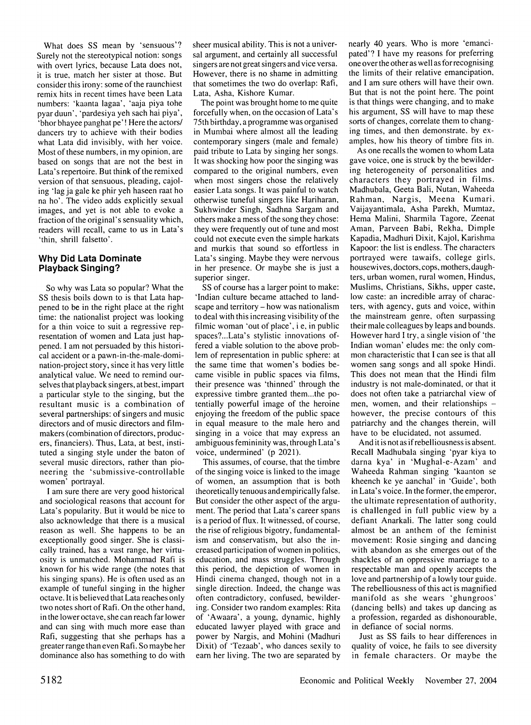**What does SS mean by 'sensuous'? Surely not the stereotypical notion: songs with overt lyrics, because Lata does not, it is true, match her sister at those. But consider this irony: some of the raunchiest remix hits in recent times have been Lata numbers: 'kaanta lagaa', 'aaja piya tohe pyar duun', 'pardesiya yeh sach hai piya', 'bhor bhayee panghat pe'! Here the actors/ dancers try to achieve with their bodies what Lata did invisibly, with her voice. Most of these numbers, in my opinion, are based on songs that are not the best in Lata's repertoire. But think of the remixed version of that sensuous, pleading, cajoling 'lag ja gale ke phir yeh haseen raat ho na ho'. The video adds explicitly sexual images, and yet is not able to evoke a fraction of the original's sensuality which, readers will recall, came to us in Lata's 'thin, shrill falsetto'.** 

#### **Why Did Lata Dominate Playback Singing?**

**So why was Lata so popular? What the SS thesis boils down to is that Lata happened to be in the right place at the right time: the nationalist project was looking for a thin voice to suit a regressive representation of women and Lata just happened. I am not persuaded by this historical accident or a pawn-in-the-male-domination-project story, since it has very little analytical value. We need to remind ourselves that playback singers, at best, impart a particular style to the singing, but the resultant music is a combination of several partnerships: of singers and music directors and of music directors and filmmakers (combination of directors, producers, financiers). Thus, Lata, at best, instituted a singing style under the baton of several music directors, rather than pioneering the 'submissive-controllable women' portrayal.** 

**I am sure there are very good historical and sociological reasons that account for Lata's popularity. But it would be nice to also acknowledge that there is a musical reason as well. She happens to be an exceptionally good singer. She is classically trained, has a vast range, her virtuosity is unmatched. Mohammad Rafi is known for his wide range (the notes that his singing spans). He is often used as an example of tuneful singing in the higher octave. It is believed that Lata reaches only two notes short of Rafi. On the other hand, in the lower octave, she can reach far lower and can sing with much more ease than Rafi, suggesting that she perhaps has a greater range than even Rafi. So maybe her dominance also has something to do with** 

**sheer musical ability. This is not a universal argument, and certainly all successful singers are not great singers and vice versa. However, there is no shame in admitting that sometimes the two do overlap: Rafi, Lata, Asha, Kishore Kumar.** 

**The point was brought home to me quite forcefully when, on the occasion of Lata's 75th birthday, a programme was organised in Mumbai where almost all the leading contemporary singers (male and female) paid tribute to Lata by singing her songs. It was shocking how poor the singing was compared to the original numbers, even when most singers chose the relatively easier Lata songs. It was painful to watch otherwise tuneful singers like Hariharan, Sukhwinder Singh, Sadhna Sargam and others make a mess of the song they chose: they were frequently out of tune and most could not execute even the simple harkats and murkis that sound so effortless in Lata's singing. Maybe they were nervous in her presence. Or maybe she is just a superior singer.** 

**SS of course has a larger point to make: 'Indian culture became attached to landscape and territory - how was nationalism to deal with this increasing visibility of the filmic woman 'out of place', i e, in public spaces?...Lata's stylistic innovations offered a viable solution to the above problem of representation in public sphere: at the same time that women's bodies became visible in public spaces via films, their presence was 'thinned' through the expressive timbre granted them...the potentially powerful image of the heroine enjoying the freedom of the public space in equal measure to the male hero and singing in a voice that may express an ambiguous femininity was, through Lata's voice, undermined' (p 2021).** 

**This assumes, of course, that the timbre of the singing voice is linked to the image of women, an assumption that is both theoretically tenuous and empirically false. But consider the other aspect of the argument. The period that Lata's career spans is a period of flux. It witnessed, of course, the rise of religious bigotry, fundamentalism and conservatism, but also the increased participation of women in politics, education, and mass struggles. Through this period, the depiction of women in Hindi cinema changed, though not in a single direction. Indeed, the change was often contradictory, confused, bewildering. Consider two random examples: Rita of 'Awaara', a young, dynamic, highly educated lawyer played with grace and power by Nargis, and Mohini (Madhuri Dixit) of 'Tezaab', who dances sexily to earn her living. The two are separated by**  **nearly 40 years. Who is more 'emancipated'? I have my reasons for preferring one over the other as well as forrecognising the limits of their relative emancipation, and I am sure others will have their own. But that is not the point here. The point is that things were changing, and to make his argument, SS will have to map these sorts of changes, correlate them to changing times, and then demonstrate, by examples, how his theory of timbre fits in.** 

**As one recalls the women to whom Lata gave voice, one is struck by the bewildering heterogeneity of personalities and characters they portrayed in films. Madhubala, Geeta Bali, Nutan, Waheeda Rahman, Nargis, Meena Kumari, Vaijayantimala, Asha Parekh, Mumtaz, Hema Malini, Sharmila Tagore, Zeenat Aman, Parveen Babi, Rekha, Dimple Kapadia, Madhuri Dixit, Kajol, Karishma Kapoor: the list is endless. The characters portrayed were tawaifs, college girls, housewives, doctors, cops, mothers, daughters, urban women, rural women, Hindus, Muslims, Christians, Sikhs, upper caste, low caste: an incredible array of characters, with agency, guts and voice, within the mainstream genre, often surpassing their male colleagues by leaps and bounds. However hard I try, a single vision of 'the Indian woman' eludes me: the only common characteristic that I can see is that all women sang songs and all spoke Hindi. This does not mean that the Hindi film industry is not male-dominated, or that it does not often take a patriarchal view of men, women, and their relationships however, the precise contours of this patriarchy and the changes therein, will have to be elucidated, not assumed.** 

**And it is not as if rebelliousness is absent. Recall Madhubala singing 'pyar kiya to darna kya' in 'Mughal-e-Azam' and Waheeda Rahman singing 'kaanton se kheench ke ye aanchal' in 'Guide', both in Lata's voice. In the former, the emperor, the ultimate representation of authority, is challenged in full public view by a defiant Anarkali. The latter song could almost be an anthem of the feminist movement: Rosie singing and dancing with abandon as she emerges out of the shackles of an oppressive marriage to a respectable man and openly accepts the love and partnership of a lowly tour guide. The rebelliousness of this act is magnified manifold as she wears 'ghungroos' (dancing bells) and takes up dancing as a profession, regarded as dishonourable, in defiance of social norms.** 

**Just as SS fails to hear differences in quality of voice, he fails to see diversity in female characters. Or maybe the**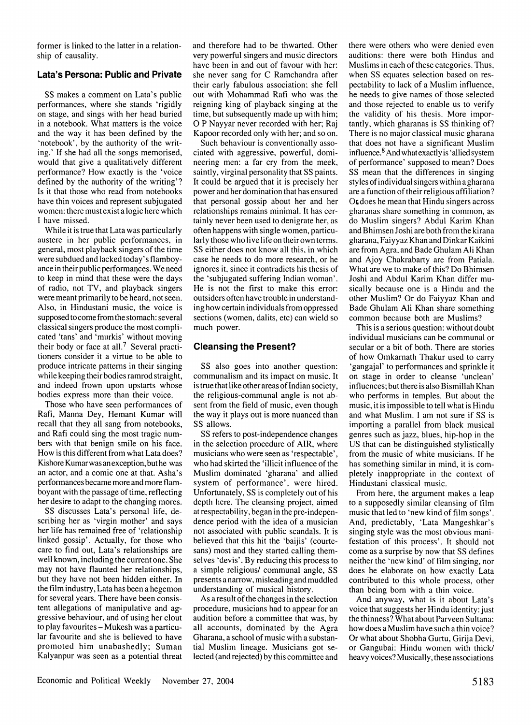**former is linked to the latter in a relationship of causality.** 

#### **Lata's Persona: Public and Private**

**SS makes a comment on Lata's public performances, where she stands 'rigidly on stage, and sings with her head buried in a notebook. What matters is the voice and the way it has been defined by the**  'notebook', by the authority of the writ**ing.' If she had all the songs memorised, would that give a qualitatively different performance? How exactly is the 'voice defined by the authority of the writing'? Is it that those who read from notebooks have thin voices and represent subjugated women: there must exist a logic here which I have missed.** 

**While it is true that Lata was particularly austere in her public performances, in general, most playback singers of the time were subdued and lacked today's flamboyance in their public performances. We need to keep in mind that these were the days of radio, not TV, and playback singers were meant primarily to be heard, not seen. Also, in Hindustani music, the voice is supposed to come from the stomach: several classical singers produce the most complicated 'tans' and 'murkis' without moving their body or face at all.7 Several practitioners consider it a virtue to be able to produce intricate patterns in their singing while keeping theirbodies ramrod straight, and indeed frown upon upstarts whose bodies express more than their voice.** 

**Those who have seen performances of Rafi, Manna Dey, Hemant Kumar will recall that they all sang from notebooks, and Rafi could sing the most tragic numbers with that benign smile on his face. How is this different from what Lata does? Kishore Kumarwas an exception, but he was an actor, and a comic one at that. Asha's performances became more and more flamboyant with the passage of time, reflecting her desire to adapt to the changing mores.** 

**SS discusses Lata's personal life, describing her as 'virgin mother' and says her life has remained free of 'relationship linked gossip'. Actually, for those who care to find out, Lata's relationships are well known, including the current one. She may not have flaunted her relationships, but they have not been hidden either. In the film industry, Lata has been a hegemon for several years. There have been consistent allegations of manipulative and aggressive behaviour, and of using her clout to play favourites - Mukesh was a particular favourite and she is believed to have promoted him unabashedly; Suman Kalyanpur was seen as a potential threat** 

**and therefore had to be thwarted. Other very powerful singers and music directors have been in and out of favour with her:**  she never sang for C Ramchandra after **their early fabulous association; she fell out with Mohammad Rafi who was the reigning king of playback singing at the time, but subsequently made up with him; O P Nayyar never recorded with her; Raj Kapoor recorded only with her; and so on.** 

**Such behaviour is conventionally associated with aggressive, powerful, domineering men: a far cry from the meek, saintly, virginal personality that SS paints. It could be argued that it is precisely her power and her domination that has ensured that personal gossip about her and her relationships remains minimal. It has certainly never been used to denigrate her, as often happens with single women, particularly those who live life on their own terms. SS either does not know all this, in which case he needs to do more research, or he ignores it, since it contradicts his thesis of the 'subjugated suffering Indian woman'. He is not the first to make this error: outsiders often have trouble in understanding how certain individuals from oppressed sections (women, dalits, etc) can wield so much power.** 

#### **Cleansing the Present?**

**SS also goes into another question: communalism and its impact on music. It is true that like other areas of Indian society, the religious-communal angle is not absent from the field of music, even though the way it plays out is more nuanced than SS allows.** 

**SS refers to post-independence changes in the selection procedure of AIR, where musicians who were seen as 'respectable', who had skirted the 'illicit influence of the Muslim dominated 'gharana' and allied system of performance', were hired. Unfortunately, SS is completely out of his depth here. The cleansing project, aimed at respectability, began in the pre-independence period with the idea of a musician not associated with public scandals. It is believed that this hit the 'baijis' (courtesans) most and they started calling themselves 'devis'. By reducing this process to a simple religious/ communal angle, SS presents a narrow, misleading and muddled understanding of musical history.** 

**As a result of the changes in the selection procedure, musicians had to appear for an audition before a committee that was, by all accounts, dominated by the Agra Gharana, aschool of music with a substantial Muslim lineage. Musicians got selected (and rejected) by this committee and** 

**there were others who were denied even auditions: there were both Hindus and Muslims in each of these categories. Thus, when SS equates selection based on respectability to lack of a Muslim influence, he needs to give names of those selected and those rejected to enable us to verify the validity of his thesis. More importantly, which gharanas is SS thinking of? There is no major classical music gharana that does not have a significant Muslim influence.8 And what exactly is 'allied system of performance' supposed to mean? Does SS mean that the differences in singing styles of individual singers within a gharana are a function of their religious affiliation? O?does he mean that Hindu singers across gharanas share something in common, as do Muslim singers? Abdul Karim Khan and Bhimsen Joshi are both from the kirana gharana, Faiyyaz Khan and Dinkar Kaiki ni are from Agra, and Bade Ghulam Ali Khan and Ajoy Chakrabarty are from Patiala. What are we to make of this? Do Bhimsen Joshi and Abdul Karim Khan differ musically because one is a Hindu and the other Muslim? Or do Faiyyaz Khan and Bade Ghulam Ali Khan share something common because both are Muslims?** 

**This is a serious question: without doubt individual musicians can be communal or secular or a bit of both. There are stories of how Omkarnath Thakur used to carry 'gangajal' to performances and sprinkle it on stage in order to cleanse 'unclean' influences; but there is also Bismillah Khan who performs in temples. But about the music, it is impossible to tell what is Hindu and what Muslim. I am not sure if SS is importing a parallel from black musical genres such as jazz, blues, hip-hop in the US that can be distinguished stylistically from the music of white musicians. If he has something similar in mind, it is completely inappropriate in the context of Hindustani classical music.** 

**From here, the argument makes a leap to a supposedly similar cleansing of film music that led to 'new kind of film songs'. And, predictably, 'Lata Mangeshkar's singing style was the most obvious manifestation of this process'. It should not come as a surprise by now that SS defines neither the 'new kind' of film singing, nor does he elaborate on how exactly Lata contributed to this whole process, other than being born with a thin voice.** 

**And anyway, what is it about Lata's voice that suggests her Hindu identity: just the thinness? What about Parveen Sultana: how does a Muslim have such a thin voice? Or what about Shobha Gurtu, Girija Devi, or Gangubai: Hindu women with thick/ heavy voices? Musically, these associations**